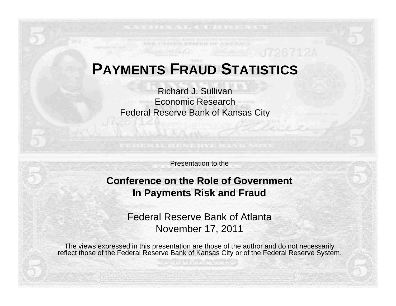#### **PAYMENTS FRAUD STATISTICS**

Richard J. SullivanEconomic ResearchFederal Reserve Bank of Kansas City

Presentation to the

#### **Conference on the Role of Government In Payments Risk and Fraud**

Federal Reserve Bank of AtlantaNovember 17, 2011

The views expressed in this presentation are those of the author and do not necessarily reflect those of the Federal Reserve Bank of Kansas City or of the Federal Reserve System.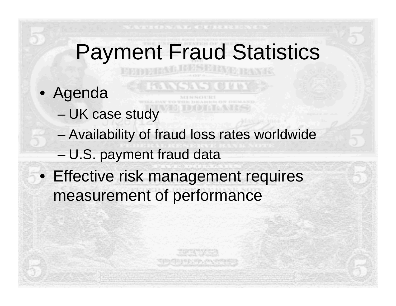### Payment Fraud Statistics

- Agenda
	- UK case study
	- –Availability of fraud loss rates worldwide
	- –U.S. payment fraud data
- Effective risk management requires measurement of performance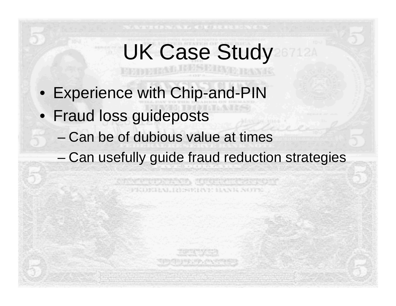# UK Case Study

- Experience with Chip-and-PIN
- Fraud loss guideposts
	- Can be of dubious value at times
	- –Can usefully guide fraud reduction strategies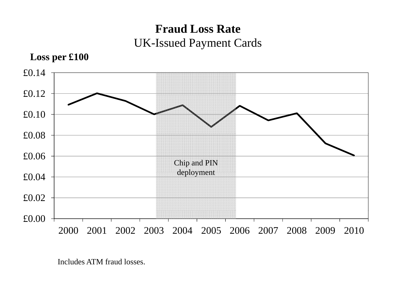#### **Fraud Loss Rate** UK-Issued Payment Cards



Includes ATM fraud losses.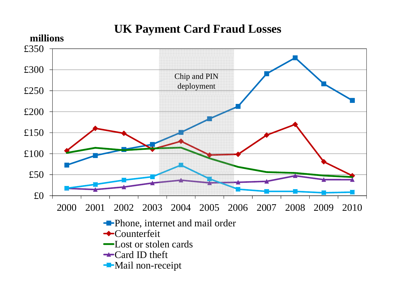#### **UK Payment Card Fraud Losses**

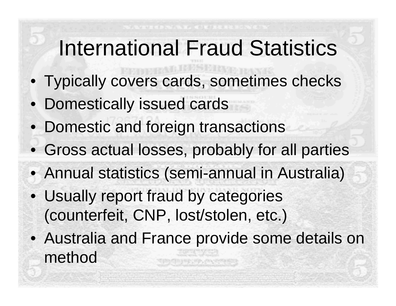# International Fraud Statistics

- Typically covers cards, sometimes checks
- Domestically issued cards
- Domestic and foreign transactions
- Gross actual losses, probably for all parties
- Annual statistics (semi-annual in Australia)
- Usually report fraud by categories (counterfeit, CNP, lost/stolen, etc.)
- Australia and France provide some details on method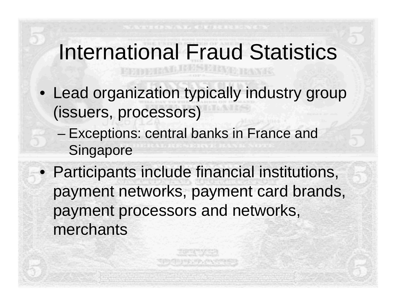### International Fraud Statistics

- Lead organization typically industry group group (issuers, processors)
	- –– Exceptions: central banks in France and **Singapore**
- Participants include financial institutions, payment networks, payment card brands, payment processors and networks, merchants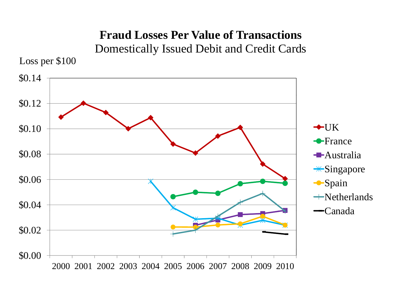#### **Fraud Losses Per Value of Transactions** Domestically Issued Debit and Credit Cards

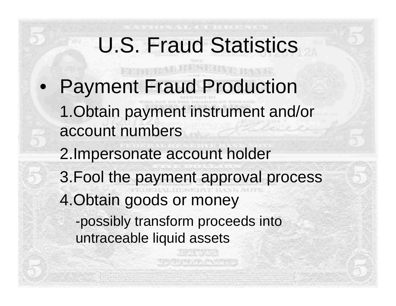# U.S. Fraud Statistics

 $\bullet$ Pa yment Fraud Production

1.Obtain payment instrument and/or account numbers

- 2.Impersonate account holder
- 3. Fool the payment approval process 4.Obtain goods or money -possibly transform proceeds into untraceable liquid assets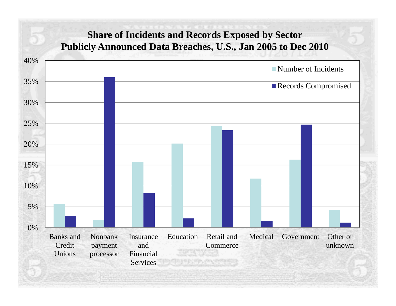#### **Share of Incidents and Records Exposed by Sector Publicly Announced Data Breaches, U.S., Jan 2005 to Dec 2010**

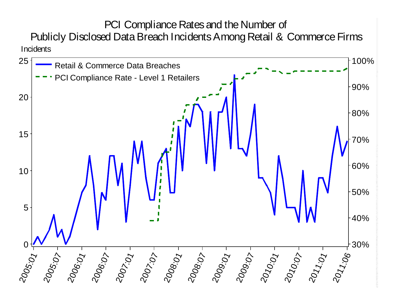#### PCI Compliance Rates and the Number of Publicly Disclosed Data Breach Incidents Among Retail & Commerce Firms **Incidents**

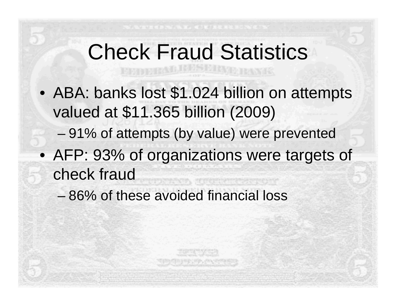## Check Fraud Statistics

- $\bullet$ • ABA: banks lost \$1.024 billion on attempts valued at \$11.365 billion (2009)
	- –91% of attempts (by value) were prevented
- AFP: 93% of organizations were targets of check fraud
	- 86% of these avoided financial loss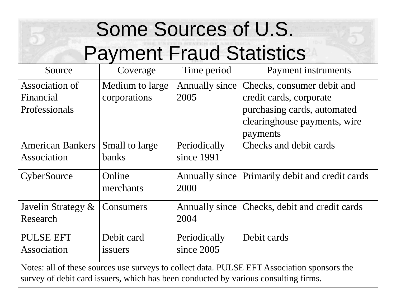## Some Sources of U.S. Payment Fraud Statistics

| Source                                                                                                                                                                             | Coverage        | Time period    | <b>Payment instruments</b>                      |  |  |
|------------------------------------------------------------------------------------------------------------------------------------------------------------------------------------|-----------------|----------------|-------------------------------------------------|--|--|
| Association of                                                                                                                                                                     | Medium to large | Annually since | Checks, consumer debit and                      |  |  |
| Financial                                                                                                                                                                          | corporations    | 2005           | credit cards, corporate                         |  |  |
| Professionals                                                                                                                                                                      |                 |                | purchasing cards, automated                     |  |  |
|                                                                                                                                                                                    |                 |                | clearinghouse payments, wire                    |  |  |
|                                                                                                                                                                                    |                 |                | payments                                        |  |  |
| <b>American Bankers</b>                                                                                                                                                            | Small to large  | Periodically   | Checks and debit cards                          |  |  |
| Association                                                                                                                                                                        | banks           | since 1991     |                                                 |  |  |
| CyberSource                                                                                                                                                                        | Online          |                | Annually since Primarily debit and credit cards |  |  |
|                                                                                                                                                                                    | merchants       | 2000           |                                                 |  |  |
| Javelin Strategy &                                                                                                                                                                 | Consumers       | Annually since | Checks, debit and credit cards                  |  |  |
| Research                                                                                                                                                                           |                 | 2004           |                                                 |  |  |
| <b>PULSE EFT</b>                                                                                                                                                                   | Debit card      | Periodically   | Debit cards                                     |  |  |
| Association                                                                                                                                                                        | issuers         | since 2005     |                                                 |  |  |
| Notes: all of these sources use surveys to collect data. PULSE EFT Association sponsors the<br>survey of debit card issuers, which has been conducted by various consulting firms. |                 |                |                                                 |  |  |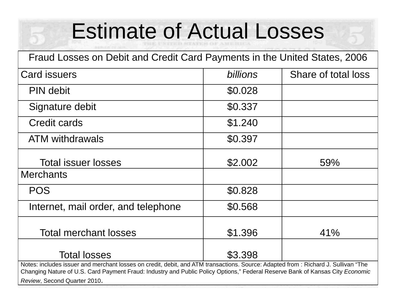# Estimate of Actual Losses

| Fraud Losses on Debit and Credit Card Payments in the United States, 2006                                                                                                                                                                                          |          |                     |  |  |  |
|--------------------------------------------------------------------------------------------------------------------------------------------------------------------------------------------------------------------------------------------------------------------|----------|---------------------|--|--|--|
| <b>Card issuers</b>                                                                                                                                                                                                                                                | billions | Share of total loss |  |  |  |
| <b>PIN</b> debit                                                                                                                                                                                                                                                   | \$0.028  |                     |  |  |  |
| Signature debit                                                                                                                                                                                                                                                    | \$0.337  |                     |  |  |  |
| Credit cards                                                                                                                                                                                                                                                       | \$1.240  |                     |  |  |  |
| <b>ATM</b> withdrawals                                                                                                                                                                                                                                             | \$0.397  |                     |  |  |  |
| Total issuer losses                                                                                                                                                                                                                                                | \$2.002  | 59%                 |  |  |  |
| <b>Merchants</b>                                                                                                                                                                                                                                                   |          |                     |  |  |  |
| <b>POS</b>                                                                                                                                                                                                                                                         | \$0.828  |                     |  |  |  |
| Internet, mail order, and telephone                                                                                                                                                                                                                                | \$0.568  |                     |  |  |  |
| <b>Total merchant losses</b>                                                                                                                                                                                                                                       | \$1.396  | 41%                 |  |  |  |
| <b>Total losses</b>                                                                                                                                                                                                                                                | \$3.398  |                     |  |  |  |
| Notes: includes issuer and merchant losses on credit, debit, and ATM transactions. Source: Adapted from: Richard J. Sullivan "The<br>Changing Nature of U.S. Card Payment Fraud: Industry and Public Policy Options," Federal Reserve Bank of Kansas City Economic |          |                     |  |  |  |
| Review, Second Quarter 2010.                                                                                                                                                                                                                                       |          |                     |  |  |  |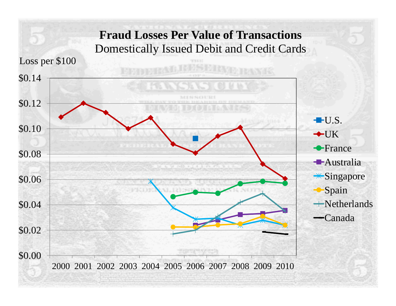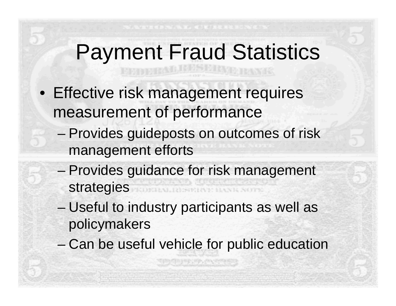## Payment Fraud Statistics

- Effective risk management requires measurement of performance
	- – Provides guideposts on outcomes of risk management efforts
	- –– Provides guidance for risk management strategies
	- – $-$  Useful to industry participants as well as policymakers
	- Can be useful vehicle for public education